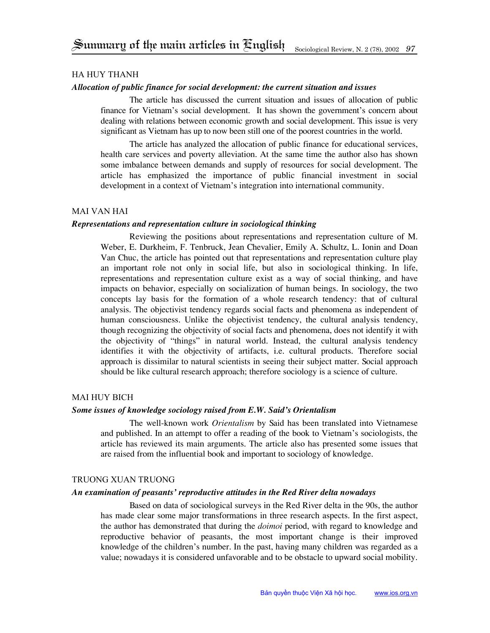# Ha Huy Thanh

### *Allocation of public finance for social development: the current situation and issues*

The article has discussed the current situation and issues of allocation of public finance for Vietnam's social development. It has shown the government's concern about dealing with relations between economic growth and social development. This issue is very significant as Vietnam has up to now been still one of the poorest countries in the world.

The article has analyzed the allocation of public finance for educational services, health care services and poverty alleviation. At the same time the author also has shown some imbalance between demands and supply of resources for social development. The article has emphasized the importance of public financial investment in social development in a context of Vietnam's integration into international community.

# Mai Van Hai

### *Representations and representation culture in sociological thinking*

Reviewing the positions about representations and representation culture of M. Weber, E. Durkheim, F. Tenbruck, Jean Chevalier, Emily A. Schultz, L. Ionin and Doan Van Chuc, the article has pointed out that representations and representation culture play an important role not only in social life, but also in sociological thinking. In life, representations and representation culture exist as a way of social thinking, and have impacts on behavior, especially on socialization of human beings. In sociology, the two concepts lay basis for the formation of a whole research tendency: that of cultural analysis. The objectivist tendency regards social facts and phenomena as independent of human consciousness. Unlike the objectivist tendency, the cultural analysis tendency, though recognizing the objectivity of social facts and phenomena, does not identify it with the objectivity of "things" in natural world. Instead, the cultural analysis tendency identifies it with the objectivity of artifacts, i.e. cultural products. Therefore social approach is dissimilar to natural scientists in seeing their subject matter. Social approach should be like cultural research approach; therefore sociology is a science of culture.

# Mai Huy Bich

# *Some issues of knowledge sociology raised from E.W. Said's Orientalism*

The well-known work *Orientalism* by Said has been translated into Vietnamese and published. In an attempt to offer a reading of the book to Vietnam's sociologists, the article has reviewed its main arguments. The article also has presented some issues that are raised from the influential book and important to sociology of knowledge.

# Truong Xuan Truong

#### *An examination of peasants' reproductive attitudes in the Red River delta nowadays*

Based on data of sociological surveys in the Red River delta in the 90s, the author has made clear some major transformations in three research aspects. In the first aspect, the author has demonstrated that during the *doimoi* period, with regard to knowledge and reproductive behavior of peasants, the most important change is their improved knowledge of the children's number. In the past, having many children was regarded as a value; nowadays it is considered unfavorable and to be obstacle to upward social mobility.